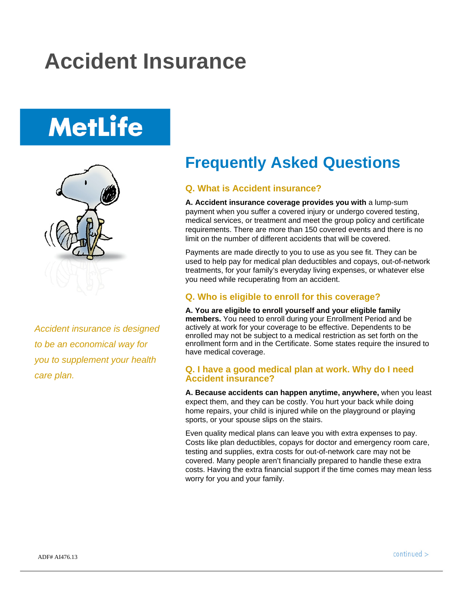## **Accident Insurance**

# **MetLife**



*Accident insurance is designed to be an economical way for you to supplement your health care plan.* 

### **Frequently Asked Questions**

#### **Q. What is Accident insurance?**

**A. Accident insurance coverage provides you with** a lump-sum payment when you suffer a covered injury or undergo covered testing, medical services, or treatment and meet the group policy and certificate requirements. There are more than 150 covered events and there is no limit on the number of different accidents that will be covered.

Payments are made directly to you to use as you see fit. They can be used to help pay for medical plan deductibles and copays, out-of-network treatments, for your family's everyday living expenses, or whatever else you need while recuperating from an accident.

#### **Q. Who is eligible to enroll for this coverage?**

**A. You are eligible to enroll yourself and your eligible family members.** You need to enroll during your Enrollment Period and be actively at work for your coverage to be effective. Dependents to be enrolled may not be subject to a medical restriction as set forth on the enrollment form and in the Certificate. Some states require the insured to have medical coverage.

#### **Q. I have a good medical plan at work. Why do I need Accident insurance?**

**A. Because accidents can happen anytime, anywhere,** when you least expect them, and they can be costly. You hurt your back while doing home repairs, your child is injured while on the playground or playing sports, or your spouse slips on the stairs.

Even quality medical plans can leave you with extra expenses to pay. Costs like plan deductibles, copays for doctor and emergency room care, testing and supplies, extra costs for out-of-network care may not be covered. Many people aren't financially prepared to handle these extra costs. Having the extra financial support if the time comes may mean less worry for you and your family.